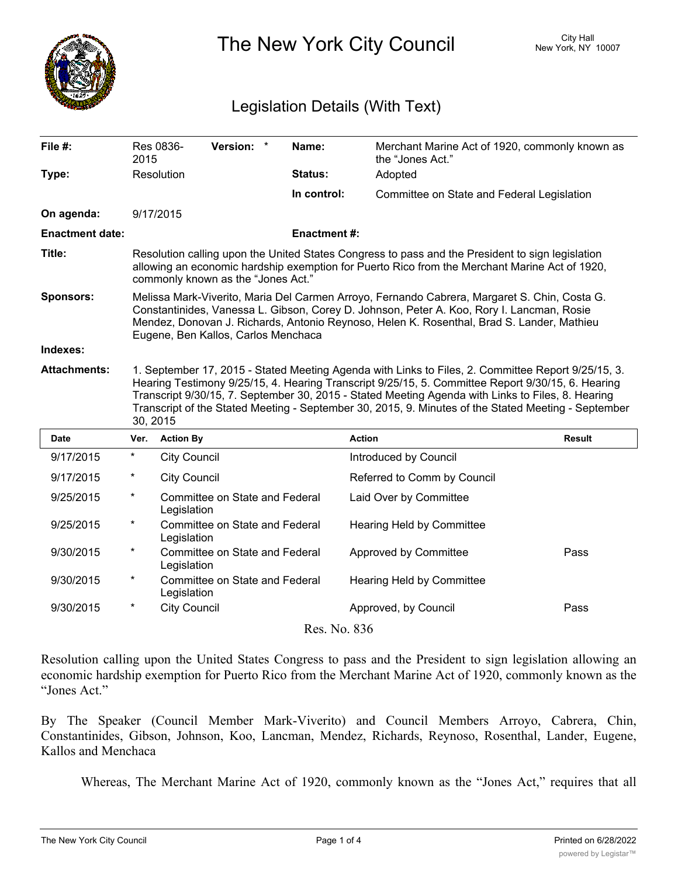

The New York City Council New York, NY 10007

## Legislation Details (With Text)

| File #:                | Res 0836-<br>2015                                                                                                                                                                                                                                                                                                                                                                                                               | Version: *                                    |  | Name:              | the "Jones Act."                           | Merchant Marine Act of 1920, commonly known as |
|------------------------|---------------------------------------------------------------------------------------------------------------------------------------------------------------------------------------------------------------------------------------------------------------------------------------------------------------------------------------------------------------------------------------------------------------------------------|-----------------------------------------------|--|--------------------|--------------------------------------------|------------------------------------------------|
| Type:                  | Resolution                                                                                                                                                                                                                                                                                                                                                                                                                      |                                               |  | Status:            | Adopted                                    |                                                |
|                        |                                                                                                                                                                                                                                                                                                                                                                                                                                 |                                               |  | In control:        | Committee on State and Federal Legislation |                                                |
| On agenda:             | 9/17/2015                                                                                                                                                                                                                                                                                                                                                                                                                       |                                               |  |                    |                                            |                                                |
| <b>Enactment date:</b> |                                                                                                                                                                                                                                                                                                                                                                                                                                 |                                               |  | <b>Enactment#:</b> |                                            |                                                |
| Title:                 | Resolution calling upon the United States Congress to pass and the President to sign legislation<br>allowing an economic hardship exemption for Puerto Rico from the Merchant Marine Act of 1920,<br>commonly known as the "Jones Act."                                                                                                                                                                                         |                                               |  |                    |                                            |                                                |
| <b>Sponsors:</b>       | Melissa Mark-Viverito, Maria Del Carmen Arroyo, Fernando Cabrera, Margaret S. Chin, Costa G.<br>Constantinides, Vanessa L. Gibson, Corey D. Johnson, Peter A. Koo, Rory I. Lancman, Rosie<br>Mendez, Donovan J. Richards, Antonio Reynoso, Helen K. Rosenthal, Brad S. Lander, Mathieu<br>Eugene, Ben Kallos, Carlos Menchaca                                                                                                   |                                               |  |                    |                                            |                                                |
| Indexes:               |                                                                                                                                                                                                                                                                                                                                                                                                                                 |                                               |  |                    |                                            |                                                |
| <b>Attachments:</b>    | 1. September 17, 2015 - Stated Meeting Agenda with Links to Files, 2. Committee Report 9/25/15, 3.<br>Hearing Testimony 9/25/15, 4. Hearing Transcript 9/25/15, 5. Committee Report 9/30/15, 6. Hearing<br>Transcript 9/30/15, 7. September 30, 2015 - Stated Meeting Agenda with Links to Files, 8. Hearing<br>Transcript of the Stated Meeting - September 30, 2015, 9. Minutes of the Stated Meeting - September<br>30, 2015 |                                               |  |                    |                                            |                                                |
| <b>Date</b>            | Ver.                                                                                                                                                                                                                                                                                                                                                                                                                            | <b>Action By</b>                              |  |                    | <b>Action</b>                              | <b>Result</b>                                  |
| 9/17/2015              | $\ast$                                                                                                                                                                                                                                                                                                                                                                                                                          | <b>City Council</b>                           |  |                    | Introduced by Council                      |                                                |
| 9/17/2015              | $\star$                                                                                                                                                                                                                                                                                                                                                                                                                         | <b>City Council</b>                           |  |                    | Referred to Comm by Council                |                                                |
| 9/25/2015              | $\star$                                                                                                                                                                                                                                                                                                                                                                                                                         | Committee on State and Federal<br>Legislation |  |                    | Laid Over by Committee                     |                                                |
| 9/25/2015              | $^\star$                                                                                                                                                                                                                                                                                                                                                                                                                        | Committee on State and Federal<br>Legislation |  |                    | Hearing Held by Committee                  |                                                |
| 9/30/2015              | $\star$                                                                                                                                                                                                                                                                                                                                                                                                                         | Committee on State and Federal<br>Legislation |  |                    | Approved by Committee                      | Pass                                           |
| 9/30/2015              | $\star$                                                                                                                                                                                                                                                                                                                                                                                                                         | Committee on State and Federal<br>Legislation |  |                    | Hearing Held by Committee                  |                                                |
| 9/30/2015              | $^{\star}$                                                                                                                                                                                                                                                                                                                                                                                                                      | <b>City Council</b>                           |  |                    | Approved, by Council                       | Pass                                           |
|                        |                                                                                                                                                                                                                                                                                                                                                                                                                                 |                                               |  |                    |                                            |                                                |

Resolution calling upon the United States Congress to pass and the President to sign legislation allowing an economic hardship exemption for Puerto Rico from the Merchant Marine Act of 1920, commonly known as the "Jones Act."

By The Speaker (Council Member Mark-Viverito) and Council Members Arroyo, Cabrera, Chin, Constantinides, Gibson, Johnson, Koo, Lancman, Mendez, Richards, Reynoso, Rosenthal, Lander, Eugene, Kallos and Menchaca

Whereas, The Merchant Marine Act of 1920, commonly known as the "Jones Act," requires that all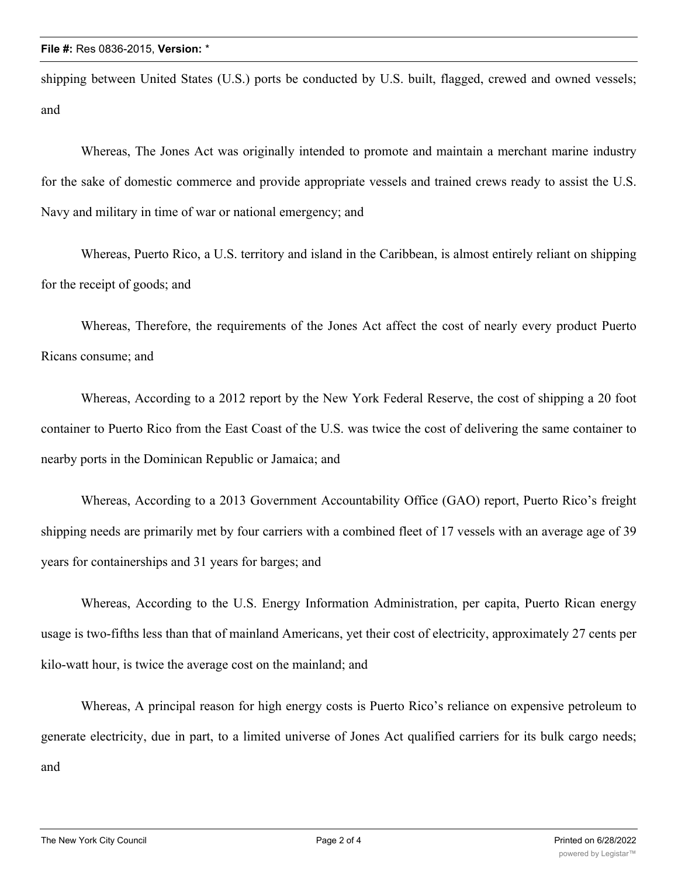shipping between United States (U.S.) ports be conducted by U.S. built, flagged, crewed and owned vessels; and

Whereas, The Jones Act was originally intended to promote and maintain a merchant marine industry for the sake of domestic commerce and provide appropriate vessels and trained crews ready to assist the U.S. Navy and military in time of war or national emergency; and

Whereas, Puerto Rico, a U.S. territory and island in the Caribbean, is almost entirely reliant on shipping for the receipt of goods; and

Whereas, Therefore, the requirements of the Jones Act affect the cost of nearly every product Puerto Ricans consume; and

Whereas, According to a 2012 report by the New York Federal Reserve, the cost of shipping a 20 foot container to Puerto Rico from the East Coast of the U.S. was twice the cost of delivering the same container to nearby ports in the Dominican Republic or Jamaica; and

Whereas, According to a 2013 Government Accountability Office (GAO) report, Puerto Rico's freight shipping needs are primarily met by four carriers with a combined fleet of 17 vessels with an average age of 39 years for containerships and 31 years for barges; and

Whereas, According to the U.S. Energy Information Administration, per capita, Puerto Rican energy usage is two-fifths less than that of mainland Americans, yet their cost of electricity, approximately 27 cents per kilo-watt hour, is twice the average cost on the mainland; and

Whereas, A principal reason for high energy costs is Puerto Rico's reliance on expensive petroleum to generate electricity, due in part, to a limited universe of Jones Act qualified carriers for its bulk cargo needs; and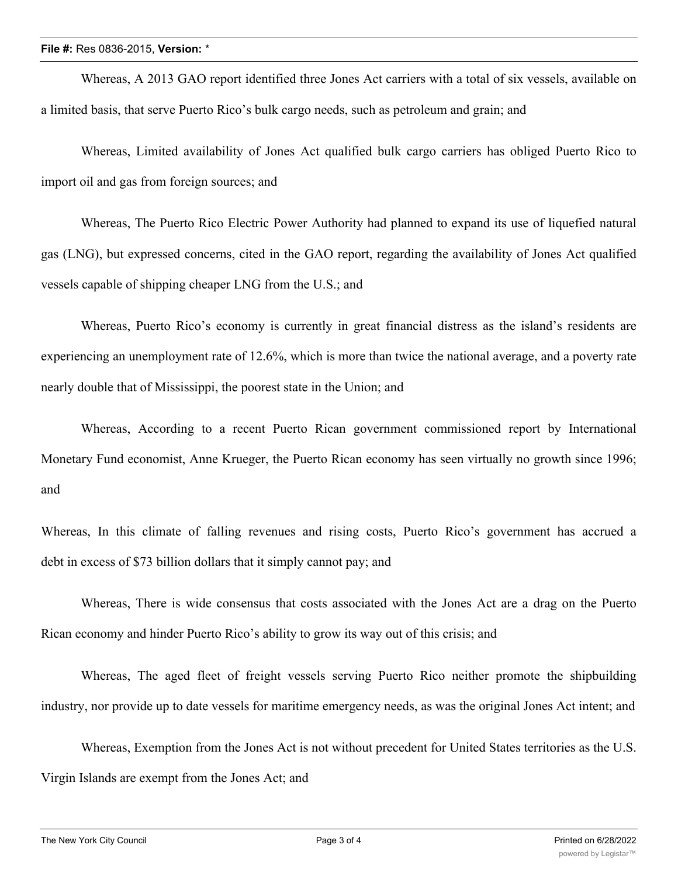## **File #:** Res 0836-2015, **Version:** \*

Whereas, A 2013 GAO report identified three Jones Act carriers with a total of six vessels, available on a limited basis, that serve Puerto Rico's bulk cargo needs, such as petroleum and grain; and

Whereas, Limited availability of Jones Act qualified bulk cargo carriers has obliged Puerto Rico to import oil and gas from foreign sources; and

Whereas, The Puerto Rico Electric Power Authority had planned to expand its use of liquefied natural gas (LNG), but expressed concerns, cited in the GAO report, regarding the availability of Jones Act qualified vessels capable of shipping cheaper LNG from the U.S.; and

Whereas, Puerto Rico's economy is currently in great financial distress as the island's residents are experiencing an unemployment rate of 12.6%, which is more than twice the national average, and a poverty rate nearly double that of Mississippi, the poorest state in the Union; and

Whereas, According to a recent Puerto Rican government commissioned report by International Monetary Fund economist, Anne Krueger, the Puerto Rican economy has seen virtually no growth since 1996; and

Whereas, In this climate of falling revenues and rising costs, Puerto Rico's government has accrued a debt in excess of \$73 billion dollars that it simply cannot pay; and

Whereas, There is wide consensus that costs associated with the Jones Act are a drag on the Puerto Rican economy and hinder Puerto Rico's ability to grow its way out of this crisis; and

Whereas, The aged fleet of freight vessels serving Puerto Rico neither promote the shipbuilding industry, nor provide up to date vessels for maritime emergency needs, as was the original Jones Act intent; and

Whereas, Exemption from the Jones Act is not without precedent for United States territories as the U.S. Virgin Islands are exempt from the Jones Act; and